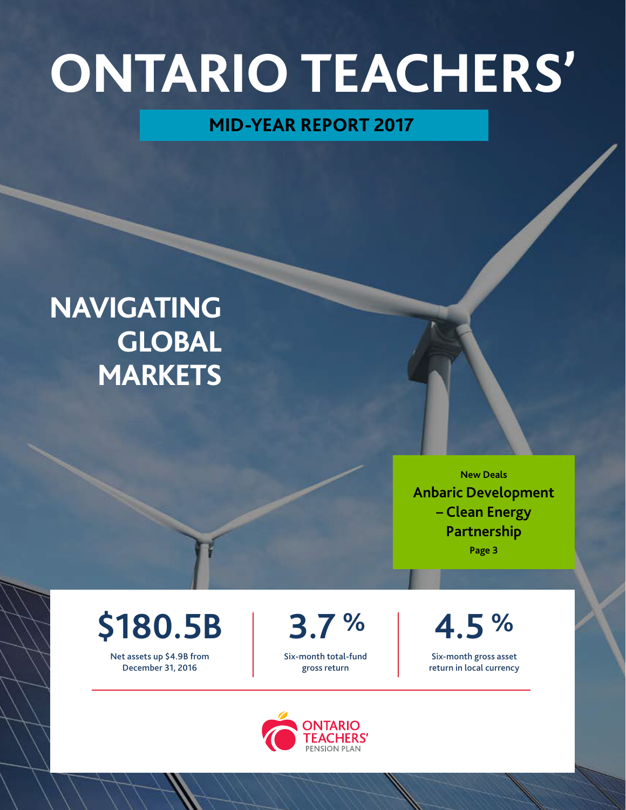# **ONTARIO TEACHERS'**

# **MID-YEAR REPORT 2017**

# **NAVIGATING GLOBAL MARKETS**

**New Deals Anbaric Development – Clean Energy Partnership** 

**Page 3** 

# **\$180.5B**

Net assets up \$4.9B from December 31, 2016

**3.7 %** 

Six-month total-fund gross return

**4.5 %** 

Six-month gross asset return in local currency

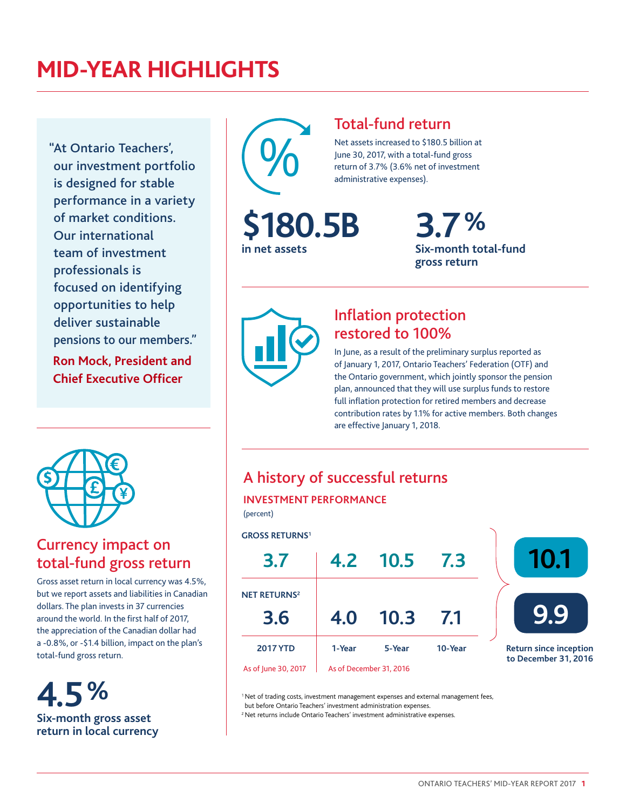# **MID-YEAR HIGHLIGHTS**

"At Ontario Teachers', our investment portfolio is designed for stable performance in a variety of market conditions. Our international team of investment professionals is focused on identifying opportunities to help deliver sustainable pensions to our members."

**Ron Mock, President and Chief Executive Officer** 



### Currency impact on total-fund gross return

Gross asset return in local currency was 4.5%, but we report assets and liabilities in Canadian dollars. The plan invests in 37 currencies around the world. In the first half of 2017, the appreciation of the Canadian dollar had a -0.8%, or -\$1.4 billion, impact on the plan's total-fund gross return.

**4.5% Six-month gross asset return in local currency** 



**in net assets** 

### Total-fund return

Net assets increased to \$180.5 billion at June 30, 2017, with a total-fund gross return of 3.7% (3.6% net of investment administrative expenses).

> **3.7% Six-month total-fund gross return**



## Infation protection restored to 100%

In June, as a result of the preliminary surplus reported as of January 1, 2017, Ontario Teachers' Federation (OTF) and the Ontario government, which jointly sponsor the pension plan, announced that they will use surplus funds to restore full inflation protection for retired members and decrease contribution rates by 1.1% for active members. Both changes are effective January 1, 2018.

## A history of successful returns

#### **INVESTMENT PERFORMANCE**

(percent)

#### **GROSS RETURNS1**



<sup>1</sup> Net of trading costs, investment management expenses and external management fees, but before Ontario Teachers' investment administration expenses.

<sup>2</sup> Net returns include Ontario Teachers' investment administrative expenses.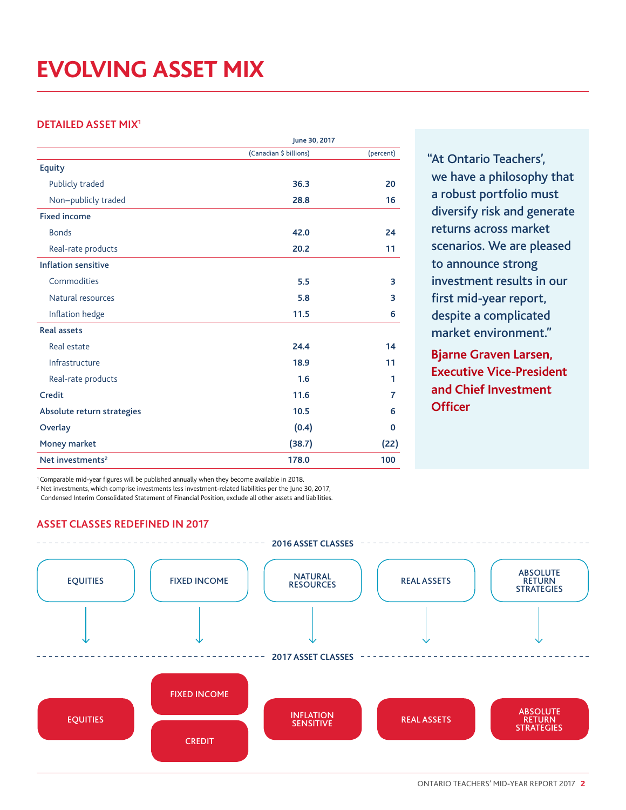# **EVOLVING ASSET MIX**

### **DETAILED ASSET MIX1**

|                              | June 30, 2017          |             |
|------------------------------|------------------------|-------------|
|                              | (Canadian \$ billions) | (percent)   |
| Equity                       |                        |             |
| Publicly traded              | 36.3                   | 20          |
| Non-publicly traded          | 28.8                   | 16          |
| <b>Fixed income</b>          |                        |             |
| <b>Bonds</b>                 | 42.0                   | 24          |
| Real-rate products           | 20.2                   | 11          |
| <b>Inflation sensitive</b>   |                        |             |
| Commodities                  | 5.5                    | 3           |
| Natural resources            | 5.8                    | 3           |
| Inflation hedge              | 11.5                   | 6           |
| <b>Real assets</b>           |                        |             |
| Real estate                  | 24.4                   | 14          |
| Infrastructure               | 18.9                   | 11          |
| Real-rate products           | 1.6                    | 1           |
| Credit                       | 11.6                   | 7           |
| Absolute return strategies   | 10.5                   | 6           |
| Overlay                      | (0.4)                  | $\mathbf 0$ |
| Money market                 | (38.7)                 | (22)        |
| Net investments <sup>2</sup> | 178.0                  | 100         |

"At Ontario Teachers', we have a philosophy that a robust portfolio must diversify risk and generate returns across market scenarios. We are pleased to announce strong investment results in our first mid-year report, despite a complicated market environment."

**Bjarne Graven Larsen, Executive Vice-President and Chief Investment Officer** 

<sup>1</sup> Comparable mid-year figures will be published annually when they become available in 2018.

<sup>2</sup> Net investments, which comprise investments less investment-related liabilities per the June 30, 2017,

Condensed Interim Consolidated Statement of Financial Position, exclude all other assets and liabilities.

### **ASSET CLASSES REDEFINED IN 2017**

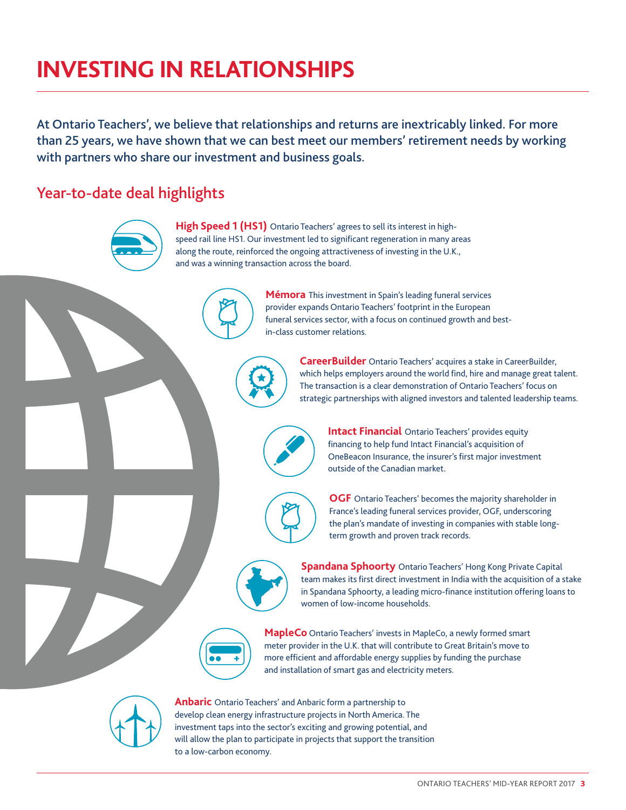# **INVESTING IN RELATIONSHIPS**

At Ontario Teachers', we believe that relationships and returns are inextricably linked. For more than 25 years, we have shown that we can best meet our members' retirement needs by working with partners who share our investment and business goals.

### Year-to-date deal highlights



**High Speed 1 (HS1)** Ontario Teachers' agrees to sell its interest in highspeed rail line HS1. Our investment led to significant regeneration in many areas along the route, reinforced the ongoing attractiveness of investing in the U.K., and was a winning transaction across the board.



**Mémora** This investment in Spain's leading funeral services provider expands Ontario Teachers' footprint in the European funeral services sector, with a focus on continued growth and bestin-class customer relations.

**CareerBuilder** Ontario Teachers' acquires a stake in CareerBuilder, which helps employers around the world find, hire and manage great talent. The transaction is a clear demonstration of Ontario Teachers' focus on strategic partnerships with aligned investors and talented leadership teams.



**Intact Financial** Ontario Teachers' provides equity fnancing to help fund Intact Financial's acquisition of OneBeacon Insurance, the insurer's first major investment outside of the Canadian market.



**OGF** Ontario Teachers' becomes the majority shareholder in France's leading funeral services provider, OGF, underscoring the plan's mandate of investing in companies with stable longterm growth and proven track records.



**Spandana Sphoorty Ontario Teachers' Hong Kong Private Capital** team makes its frst direct investment in India with the acquisition of a stake in Spandana Sphoorty, a leading micro-fnance institution offering loans to women of low-income households.



**MapleCo** Ontario Teachers' invests in MapleCo, a newly formed smart meter provider in the U.K. that will contribute to Great Britain's move to more efficient and affordable energy supplies by funding the purchase and installation of smart gas and electricity meters.



**Anbaric** Ontario Teachers' and Anbaric form a partnership to develop clean energy infrastructure projects in North America. The investment taps into the sector's exciting and growing potential, and will allow the plan to participate in projects that support the transition to a low-carbon economy.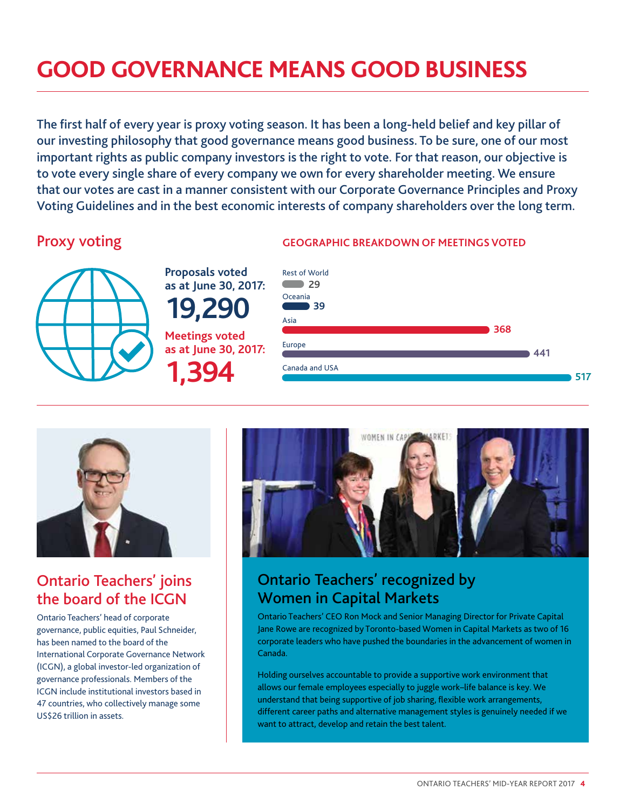# **GOOD GOVERNANCE MEANS GOOD BUSINESS**

The first half of every year is proxy voting season. It has been a long-held belief and key pillar of our investing philosophy that good governance means good business. To be sure, one of our most important rights as public company investors is the right to vote. For that reason, our objective is to vote every single share of every company we own for every shareholder meeting. We ensure that our votes are cast in a manner consistent with our Corporate Governance Principles and Proxy Voting Guidelines and in the best economic interests of company shareholders over the long term.



**Proposals voted as at June 30, 2017: 19,290 Meetings voted as at June 30, 2017:** 

**1,394** 

### Proxy voting **GEOGRAPHIC BREAKDOWN OF MEETINGS VOTED**





## Ontario Teachers' joins the board of the ICGN

Ontario Teachers' head of corporate governance, public equities, Paul Schneider, has been named to the board of the International Corporate Governance Network (ICGN), a global investor-led organization of governance professionals. Members of the ICGN include institutional investors based in 47 countries, who collectively manage some US\$26 trillion in assets.



## Ontario Teachers' recognized by Women in Capital Markets

Ontario Teachers' CEO Ron Mock and Senior Managing Director for Private Capital Jane Rowe are recognized by Toronto-based Women in Capital Markets as two of 16 corporate leaders who have pushed the boundaries in the advancement of women in Canada.

Holding ourselves accountable to provide a supportive work environment that allows our female employees especially to juggle work–life balance is key. We understand that being supportive of job sharing, flexible work arrangements, different career paths and alternative management styles is genuinely needed if we want to attract, develop and retain the best talent.